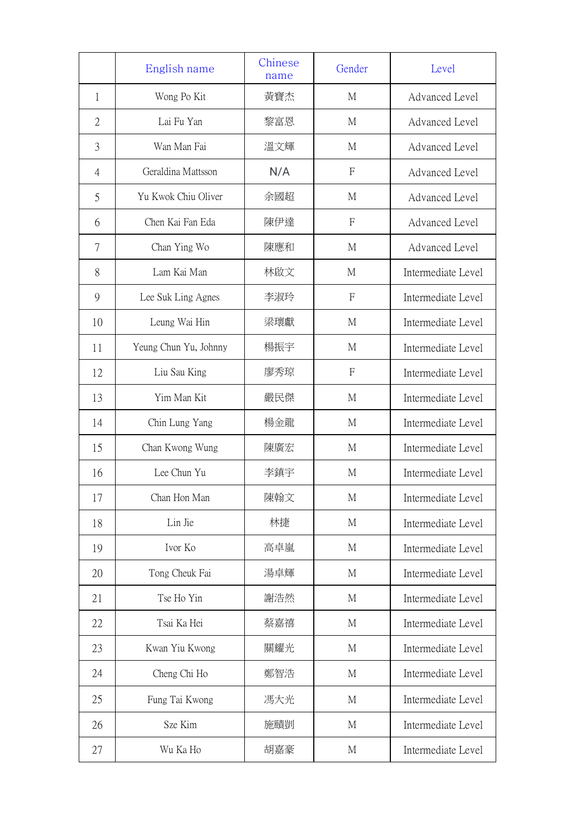|                | English name          | Chinese<br>name | Gender         | Level              |
|----------------|-----------------------|-----------------|----------------|--------------------|
| 1              | Wong Po Kit           | 黃寶杰             | M              | Advanced Level     |
| $\overline{2}$ | Lai Fu Yan            | 黎富恩             | M              | Advanced Level     |
| 3              | Wan Man Fai           | 溫文輝             | M              | Advanced Level     |
| $\overline{4}$ | Geraldina Mattsson    | N/A             | $\overline{F}$ | Advanced Level     |
| 5              | Yu Kwok Chiu Oliver   | 余國超             | M              | Advanced Level     |
| 6              | Chen Kai Fan Eda      | 陳伊達             | F              | Advanced Level     |
| 7              | Chan Ying Wo          | 陳應和             | M              | Advanced Level     |
| 8              | Lam Kai Man           | 林啟文             | $\mathbf{M}$   | Intermediate Level |
| 9              | Lee Suk Ling Agnes    | 李淑玲             | $\overline{F}$ | Intermediate Level |
| 10             | Leung Wai Hin         | 梁瓌獻             | M              | Intermediate Level |
| 11             | Yeung Chun Yu, Johnny | 楊振宇             | M              | Intermediate Level |
| 12             | Liu Sau King          | 廖秀琼             | F              | Intermediate Level |
| 13             | Yim Man Kit           | 嚴民傑             | M              | Intermediate Level |
| 14             | Chin Lung Yang        | 楊金龍             | M              | Intermediate Level |
| 15             | Chan Kwong Wung       | 陳廣宏             | M              | Intermediate Level |
| 16             | Lee Chun Yu           | 李鎮宇             | M              | Intermediate Level |
| 17             | Chan Hon Man          | 陳翰文             | M              | Intermediate Level |
| 18             | Lin Jie               | 林捷              | $\mathbf{M}$   | Intermediate Level |
| 19             | Ivor Ko               | 高卓嵐             | $\mathbf{M}$   | Intermediate Level |
| 20             | Tong Cheuk Fai        | 湯卓輝             | M              | Intermediate Level |
| 21             | Tse Ho Yin            | 謝浩然             | $\mathbf{M}$   | Intermediate Level |
| 22             | Tsai Ka Hei           | 蔡嘉禧             | $\mathbf{M}$   | Intermediate Level |
| 23             | Kwan Yiu Kwong        | 關耀光             | $\mathbf{M}$   | Intermediate Level |
| 24             | Cheng Chi Ho          | 鄭智浩             | $\mathbf{M}$   | Intermediate Level |
| 25             | Fung Tai Kwong        | 馮大光             | M              | Intermediate Level |
| 26             | Sze Kim               | 施賾剴             | M              | Intermediate Level |
| 27             | Wu Ka Ho              | 胡嘉豪             | М              | Intermediate Level |